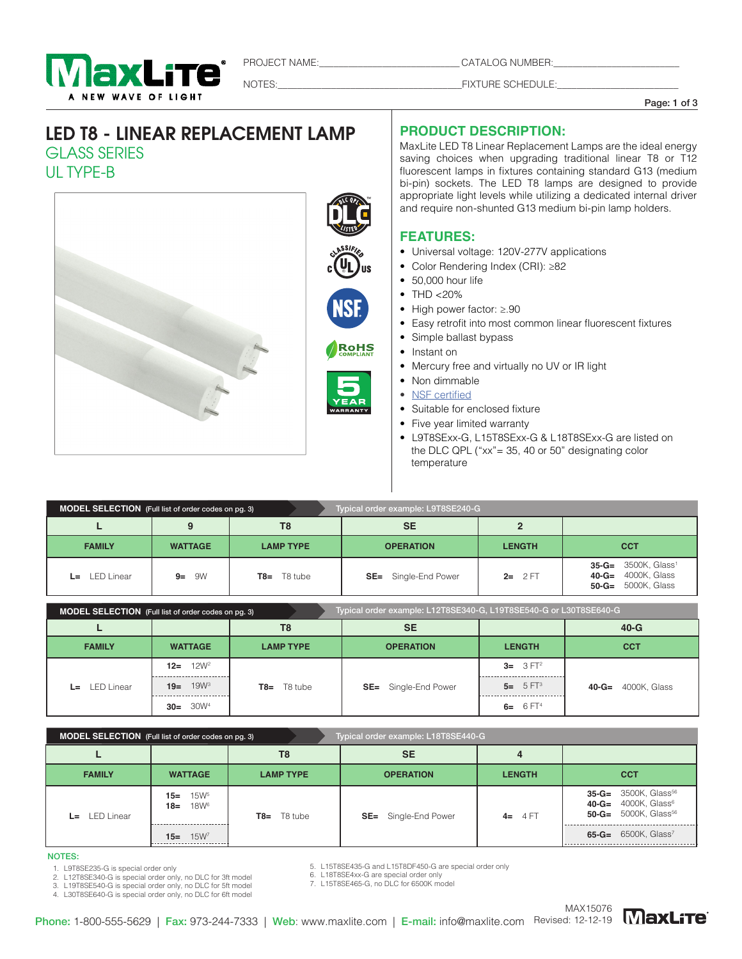

PROJECT NAME:\_\_\_\_\_\_\_\_\_\_\_\_\_\_\_\_\_\_\_\_\_\_\_\_\_\_\_\_\_ CATALOG NUMBER:\_\_\_\_\_\_\_\_\_\_\_\_\_\_\_\_\_\_\_\_\_\_\_\_\_\_

NOTES:\_\_\_\_\_\_\_\_\_\_\_\_\_\_\_\_\_\_\_\_\_\_\_\_\_\_\_\_\_\_\_\_\_\_\_\_\_\_FIXTURE SCHEDULE:\_\_\_\_\_\_\_\_\_\_\_\_\_\_\_\_\_\_\_\_\_\_\_\_\_

Page: 1 of 3

# LED T8 - LINEAR REPLACEMENT LAMP GLASS SERIES UL TYPE-B



### **PRODUCT DESCRIPTION:**

MaxLite LED T8 Linear Replacement Lamps are the ideal energy saving choices when upgrading traditional linear T8 or T12 fluorescent lamps in fixtures containing standard G13 (medium bi-pin) sockets. The LED T8 lamps are designed to provide appropriate light levels while utilizing a dedicated internal driver and require non-shunted G13 medium bi-pin lamp holders.

### **FEATURES:**

- Universal voltage: 120V-277V applications
- Color Rendering Index (CRI): ≥82
- 50,000 hour life
- $\bullet$  THD <20%
- High power factor: ≥.90
- Easy retrofit into most common linear fluorescent fixtures
- Simple ballast bypass
- Instant on
- Mercury free and virtually no UV or IR light
- Non dimmable
- NSF certified
- Suitable for enclosed fixture
- Five year limited warranty
- L9T8SExx-G, L15T8SExx-G & L18T8SExx-G are listed on the DLC QPL ("xx"= 35, 40 or 50" designating color temperature

| Typical order example: L9T8SE240-G<br>MODEL SELECTION (Full list of order codes on pg. 3) |                                    |                |                             |               |                                                                                              |  |  |
|-------------------------------------------------------------------------------------------|------------------------------------|----------------|-----------------------------|---------------|----------------------------------------------------------------------------------------------|--|--|
| T8                                                                                        |                                    |                | <b>SE</b>                   |               |                                                                                              |  |  |
| <b>FAMILY</b>                                                                             | <b>WATTAGE</b><br><b>LAMP TYPE</b> |                | <b>OPERATION</b>            | <b>LENGTH</b> | <b>CCT</b>                                                                                   |  |  |
| $L =$ LED Linear                                                                          | 9W<br>$9=$                         | T8 tube<br>T8= | <b>SE=</b> Single-End Power | $2 = 2FT$     | $35-G = 3500K$ , Glass <sup>1</sup><br><b>40-G=</b> 4000K, Glass<br>$50 - G = 5000K$ , Glass |  |  |

| MODEL SELECTION (Full list of order codes on pg. 3) |                            |                  | Typical order example: L12T8SE340-G, L19T8SE540-G or L30T8SE640-G |               |                           |  |  |  |
|-----------------------------------------------------|----------------------------|------------------|-------------------------------------------------------------------|---------------|---------------------------|--|--|--|
|                                                     |                            | T8               | <b>SE</b>                                                         |               | $40-G$                    |  |  |  |
| <b>FAMILY</b>                                       | <b>WATTAGE</b>             | <b>LAMP TYPE</b> | <b>OPERATION</b>                                                  | <b>LENGTH</b> | <b>CCT</b>                |  |  |  |
| LED Linear<br>L=                                    | 12W <sup>2</sup><br>$12 =$ | $T8 = T8$ tube   |                                                                   | $3 = 3 FT^2$  |                           |  |  |  |
|                                                     | $19 = 19W^3$               |                  | <b>SE=</b> Single-End Power                                       | $5 = 5 FT^3$  | <b>40-G=</b> 4000K, Glass |  |  |  |
|                                                     | $30 = 30W^4$               |                  |                                                                   | 6= $6FT4$     |                           |  |  |  |

| MODEL SELECTION (Full list of order codes on pg. 3)<br>Typical order example: L18T8SE440-G |                                            |                  |                              |               |                                                                                                                         |  |  |  |
|--------------------------------------------------------------------------------------------|--------------------------------------------|------------------|------------------------------|---------------|-------------------------------------------------------------------------------------------------------------------------|--|--|--|
|                                                                                            |                                            | T8               | <b>SE</b>                    |               |                                                                                                                         |  |  |  |
| <b>FAMILY</b>                                                                              | <b>WATTAGE</b>                             | <b>LAMP TYPE</b> | <b>OPERATION</b>             | <b>LENGTH</b> | <b>CCT</b>                                                                                                              |  |  |  |
| $L = LED Linear$                                                                           | $15 = 15W^5$<br>18W <sup>6</sup><br>$18 =$ | $T8 = T8$ tube   | <b>SE</b> = Single-End Power | $4 = 4FT$     | $35-G = 3500K$ , Glass <sup>56</sup><br>$40 - G = 4000K$ , Glass <sup>6</sup><br>$50 - G = 5000K$ , Glass <sup>56</sup> |  |  |  |
|                                                                                            | $15W^7$<br>$15 =$                          |                  |                              |               | $65-G = 6500K$ , Glass <sup>7</sup>                                                                                     |  |  |  |

#### NOTES:

- 1. L9T8SE235-G is special order only
- 2. L12T8SE340-G is special order only, no DLC for 3ft model 3. L19T8SE540-G is special order only, no DLC for 5ft model

4. L30T8SE640-G is special order only, no DLC for 6ft model

5. L15T8SE435-G and L15T8DF450-G are special order only

6. L18T8SE4xx-G are special order only 7. L15T8SE465-G, no DLC for 6500K model

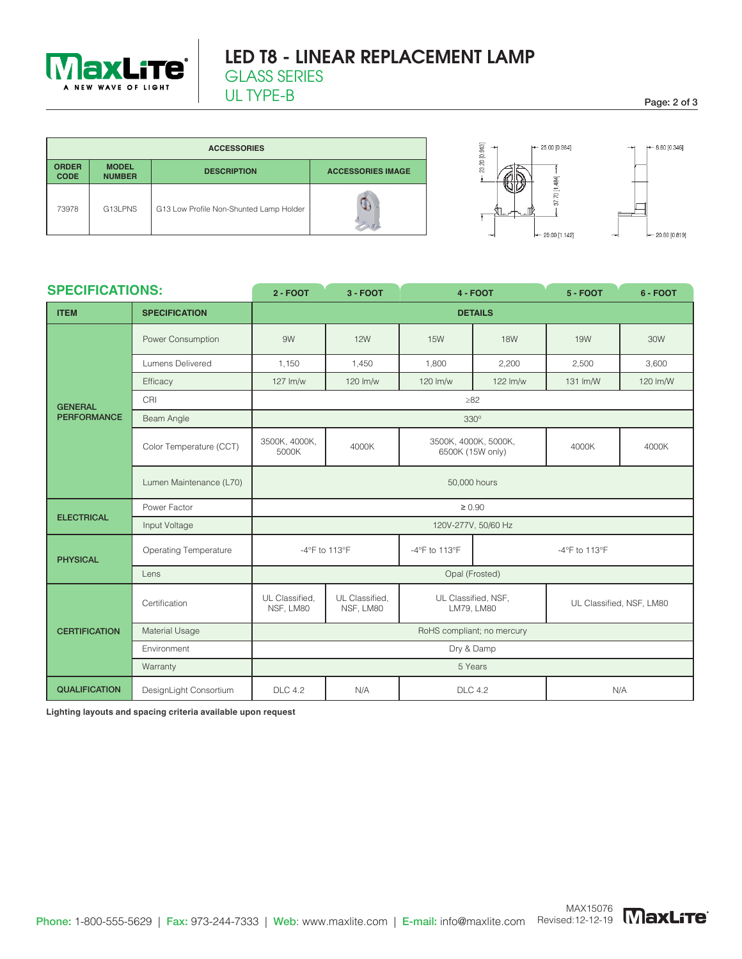

UL TYPE-B Page: 2 of 3

| <b>ACCESSORIES</b>          |                               |                                         |                          |  |  |  |  |  |
|-----------------------------|-------------------------------|-----------------------------------------|--------------------------|--|--|--|--|--|
| <b>ORDER</b><br><b>CODE</b> | <b>MODEL</b><br><b>NUMBER</b> | <b>DESCRIPTION</b>                      | <b>ACCESSORIES IMAGE</b> |  |  |  |  |  |
| 73978                       | G13LPNS                       | G13 Low Profile Non-Shunted Lamp Holder |                          |  |  |  |  |  |



| <b>SPECIFICATIONS:</b> |                              | $2 - FOOT$                     | $3 - FOOT$                  |                                          | <b>4 - FOOT</b> | $5 - FOOT$    | 6 - FOOT                 |  |  |
|------------------------|------------------------------|--------------------------------|-----------------------------|------------------------------------------|-----------------|---------------|--------------------------|--|--|
| <b>ITEM</b>            | <b>SPECIFICATION</b>         |                                | <b>DETAILS</b>              |                                          |                 |               |                          |  |  |
|                        | Power Consumption            | 9W                             | <b>12W</b>                  | <b>15W</b>                               | <b>18W</b>      | <b>19W</b>    | 30W                      |  |  |
|                        | Lumens Delivered             | 1,150                          | 1,450                       | 1,800                                    | 2,200           | 2,500         | 3,600                    |  |  |
|                        | Efficacy                     | 127 lm/w                       | 120 lm/w                    | 120 lm/w                                 | 122 lm/w        | 131 lm/W      | 120 lm/W                 |  |  |
| <b>GENERAL</b>         | CRI                          |                                |                             | $\geq 82$                                |                 |               |                          |  |  |
| <b>PERFORMANCE</b>     | Beam Angle                   |                                |                             | $330^\circ$                              |                 |               |                          |  |  |
|                        | Color Temperature (CCT)      | 3500K, 4000K,<br>5000K         | 4000K                       | 3500K, 4000K, 5000K,<br>6500K (15W only) |                 | 4000K         | 4000K                    |  |  |
|                        | Lumen Maintenance (L70)      | 50,000 hours                   |                             |                                          |                 |               |                          |  |  |
| <b>ELECTRICAL</b>      | Power Factor<br>$\geq 0.90$  |                                |                             |                                          |                 |               |                          |  |  |
|                        | Input Voltage                | 120V-277V, 50/60 Hz            |                             |                                          |                 |               |                          |  |  |
| <b>PHYSICAL</b>        | <b>Operating Temperature</b> | -4°F to 113°F<br>-4°F to 113°F |                             |                                          |                 | -4°F to 113°F |                          |  |  |
|                        | Lens                         | Opal (Frosted)                 |                             |                                          |                 |               |                          |  |  |
| <b>CERTIFICATION</b>   | Certification                | UL Classified,<br>NSF, LM80    | UL Classified.<br>NSF, LM80 | UL Classified, NSF,<br>LM79, LM80        |                 |               | UL Classified, NSF, LM80 |  |  |
|                        | Material Usage               | RoHS compliant; no mercury     |                             |                                          |                 |               |                          |  |  |
|                        | Environment                  | Dry & Damp                     |                             |                                          |                 |               |                          |  |  |
|                        | Warranty                     |                                | 5 Years                     |                                          |                 |               |                          |  |  |
| <b>QUALIFICATION</b>   | DesignLight Consortium       | <b>DLC 4.2</b>                 | N/A                         | <b>DLC 4.2</b>                           |                 | N/A           |                          |  |  |

**Lighting layouts and spacing criteria available upon request**